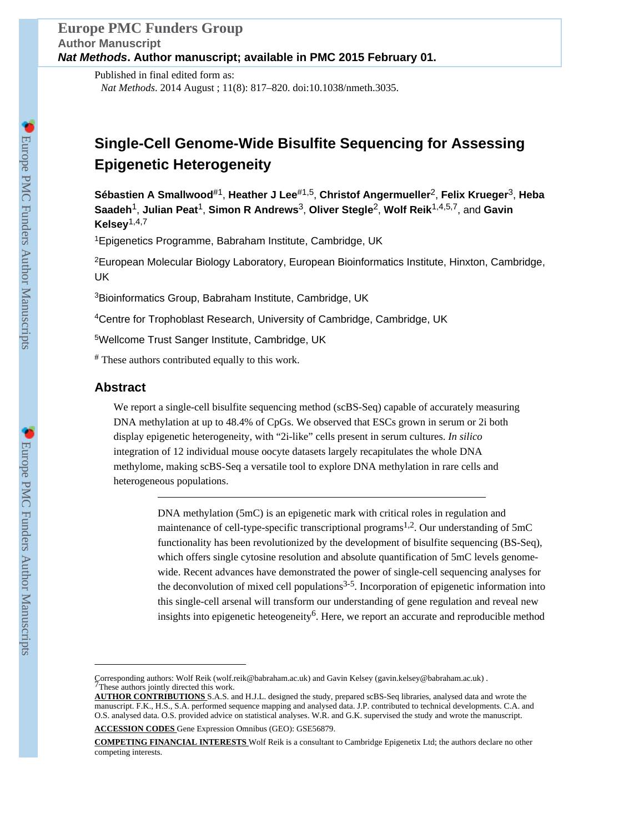Published in final edited form as: *Nat Methods*. 2014 August ; 11(8): 817–820. doi:10.1038/nmeth.3035.

# **Single-Cell Genome-Wide Bisulfite Sequencing for Assessing Epigenetic Heterogeneity**

**Sébastien A Smallwood**#1, **Heather J Lee**#1,5, **Christof Angermueller**2, **Felix Krueger**3, **Heba Saadeh**1, **Julian Peat**1, **Simon R Andrews**3, **Oliver Stegle**2, **Wolf Reik**1,4,5,7, and **Gavin Kelsey**1,4,7

<sup>1</sup>Epigenetics Programme, Babraham Institute, Cambridge, UK

<sup>2</sup>European Molecular Biology Laboratory, European Bioinformatics Institute, Hinxton, Cambridge, UK

<sup>3</sup>Bioinformatics Group, Babraham Institute, Cambridge, UK

<sup>4</sup>Centre for Trophoblast Research, University of Cambridge, Cambridge, UK

<sup>5</sup>Wellcome Trust Sanger Institute, Cambridge, UK

# These authors contributed equally to this work.

# **Abstract**

We report a single-cell bisulfite sequencing method (scBS-Seq) capable of accurately measuring DNA methylation at up to 48.4% of CpGs. We observed that ESCs grown in serum or 2i both display epigenetic heterogeneity, with "2i-like" cells present in serum cultures. *In silico* integration of 12 individual mouse oocyte datasets largely recapitulates the whole DNA methylome, making scBS-Seq a versatile tool to explore DNA methylation in rare cells and heterogeneous populations.

> DNA methylation (5mC) is an epigenetic mark with critical roles in regulation and maintenance of cell-type-specific transcriptional programs<sup>1,2</sup>. Our understanding of  $5mC$ functionality has been revolutionized by the development of bisulfite sequencing (BS-Seq), which offers single cytosine resolution and absolute quantification of 5mC levels genomewide. Recent advances have demonstrated the power of single-cell sequencing analyses for the deconvolution of mixed cell populations $3-5$ . Incorporation of epigenetic information into this single-cell arsenal will transform our understanding of gene regulation and reveal new insights into epigenetic heteogeneity<sup>6</sup>. Here, we report an accurate and reproducible method

Corresponding authors: Wolf Reik (wolf.reik@babraham.ac.uk) and Gavin Kelsey (gavin.kelsey@babraham.ac.uk) . 7These authors jointly directed this work.

**AUTHOR CONTRIBUTIONS** S.A.S. and H.J.L. designed the study, prepared scBS-Seq libraries, analysed data and wrote the manuscript. F.K., H.S., S.A. performed sequence mapping and analysed data. J.P. contributed to technical developments. C.A. and O.S. analysed data. O.S. provided advice on statistical analyses. W.R. and G.K. supervised the study and wrote the manuscript.

**ACCESSION CODES** Gene Expression Omnibus (GEO): GSE56879.

**COMPETING FINANCIAL INTERESTS** Wolf Reik is a consultant to Cambridge Epigenetix Ltd; the authors declare no other competing interests.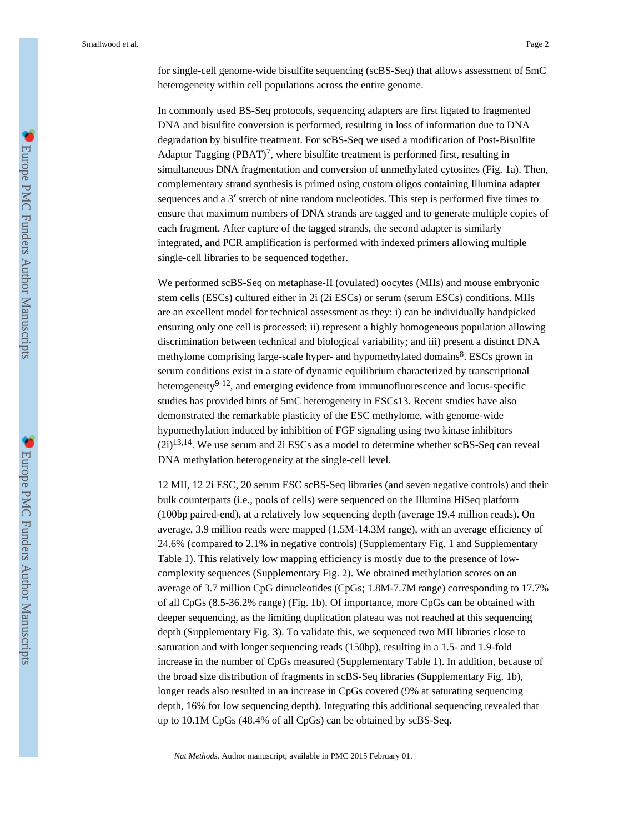for single-cell genome-wide bisulfite sequencing (scBS-Seq) that allows assessment of 5mC heterogeneity within cell populations across the entire genome.

In commonly used BS-Seq protocols, sequencing adapters are first ligated to fragmented DNA and bisulfite conversion is performed, resulting in loss of information due to DNA degradation by bisulfite treatment. For scBS-Seq we used a modification of Post-Bisulfite Adaptor Tagging (PBAT)<sup>7</sup>, where bisulfite treatment is performed first, resulting in simultaneous DNA fragmentation and conversion of unmethylated cytosines (Fig. 1a). Then, complementary strand synthesis is primed using custom oligos containing Illumina adapter sequences and a 3' stretch of nine random nucleotides. This step is performed five times to ensure that maximum numbers of DNA strands are tagged and to generate multiple copies of each fragment. After capture of the tagged strands, the second adapter is similarly integrated, and PCR amplification is performed with indexed primers allowing multiple single-cell libraries to be sequenced together.

We performed scBS-Seq on metaphase-II (ovulated) oocytes (MIIs) and mouse embryonic stem cells (ESCs) cultured either in 2i (2i ESCs) or serum (serum ESCs) conditions. MIIs are an excellent model for technical assessment as they: i) can be individually handpicked ensuring only one cell is processed; ii) represent a highly homogeneous population allowing discrimination between technical and biological variability; and iii) present a distinct DNA methylome comprising large-scale hyper- and hypomethylated domains<sup>8</sup>. ESCs grown in serum conditions exist in a state of dynamic equilibrium characterized by transcriptional heterogeneity $9-12$ , and emerging evidence from immunofluorescence and locus-specific studies has provided hints of 5mC heterogeneity in ESCs13. Recent studies have also demonstrated the remarkable plasticity of the ESC methylome, with genome-wide hypomethylation induced by inhibition of FGF signaling using two kinase inhibitors  $(2i)^{13,14}$ . We use serum and 2i ESCs as a model to determine whether scBS-Seq can reveal DNA methylation heterogeneity at the single-cell level.

12 MII, 12 2i ESC, 20 serum ESC scBS-Seq libraries (and seven negative controls) and their bulk counterparts (i.e., pools of cells) were sequenced on the Illumina HiSeq platform (100bp paired-end), at a relatively low sequencing depth (average 19.4 million reads). On average, 3.9 million reads were mapped (1.5M-14.3M range), with an average efficiency of 24.6% (compared to 2.1% in negative controls) (Supplementary Fig. 1 and Supplementary Table 1). This relatively low mapping efficiency is mostly due to the presence of lowcomplexity sequences (Supplementary Fig. 2). We obtained methylation scores on an average of 3.7 million CpG dinucleotides (CpGs; 1.8M-7.7M range) corresponding to 17.7% of all CpGs (8.5-36.2% range) (Fig. 1b). Of importance, more CpGs can be obtained with deeper sequencing, as the limiting duplication plateau was not reached at this sequencing depth (Supplementary Fig. 3). To validate this, we sequenced two MII libraries close to saturation and with longer sequencing reads (150bp), resulting in a 1.5- and 1.9-fold increase in the number of CpGs measured (Supplementary Table 1). In addition, because of the broad size distribution of fragments in scBS-Seq libraries (Supplementary Fig. 1b), longer reads also resulted in an increase in CpGs covered (9% at saturating sequencing depth, 16% for low sequencing depth). Integrating this additional sequencing revealed that up to 10.1M CpGs (48.4% of all CpGs) can be obtained by scBS-Seq.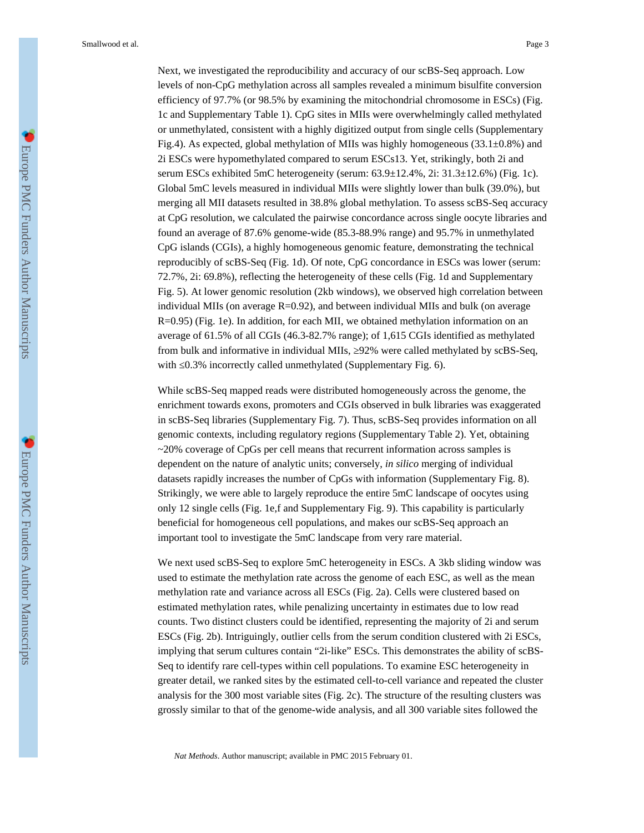Next, we investigated the reproducibility and accuracy of our scBS-Seq approach. Low levels of non-CpG methylation across all samples revealed a minimum bisulfite conversion efficiency of 97.7% (or 98.5% by examining the mitochondrial chromosome in ESCs) (Fig. 1c and Supplementary Table 1). CpG sites in MIIs were overwhelmingly called methylated or unmethylated, consistent with a highly digitized output from single cells (Supplementary Fig.4). As expected, global methylation of MIIs was highly homogeneous  $(33.1\pm0.8\%)$  and 2i ESCs were hypomethylated compared to serum ESCs13. Yet, strikingly, both 2i and serum ESCs exhibited 5mC heterogeneity (serum: 63.9±12.4%, 2i: 31.3±12.6%) (Fig. 1c). Global 5mC levels measured in individual MIIs were slightly lower than bulk (39.0%), but merging all MII datasets resulted in 38.8% global methylation. To assess scBS-Seq accuracy at CpG resolution, we calculated the pairwise concordance across single oocyte libraries and found an average of 87.6% genome-wide (85.3-88.9% range) and 95.7% in unmethylated CpG islands (CGIs), a highly homogeneous genomic feature, demonstrating the technical reproducibly of scBS-Seq (Fig. 1d). Of note, CpG concordance in ESCs was lower (serum: 72.7%, 2i: 69.8%), reflecting the heterogeneity of these cells (Fig. 1d and Supplementary Fig. 5). At lower genomic resolution (2kb windows), we observed high correlation between individual MIIs (on average R=0.92), and between individual MIIs and bulk (on average R=0.95) (Fig. 1e). In addition, for each MII, we obtained methylation information on an average of 61.5% of all CGIs (46.3-82.7% range); of 1,615 CGIs identified as methylated from bulk and informative in individual MIIs, 92% were called methylated by scBS-Seq, with 0.3% incorrectly called unmethylated (Supplementary Fig. 6).

While scBS-Seq mapped reads were distributed homogeneously across the genome, the enrichment towards exons, promoters and CGIs observed in bulk libraries was exaggerated in scBS-Seq libraries (Supplementary Fig. 7). Thus, scBS-Seq provides information on all genomic contexts, including regulatory regions (Supplementary Table 2). Yet, obtaining  $\sim$  20% coverage of CpGs per cell means that recurrent information across samples is dependent on the nature of analytic units; conversely, *in silico* merging of individual datasets rapidly increases the number of CpGs with information (Supplementary Fig. 8). Strikingly, we were able to largely reproduce the entire 5mC landscape of oocytes using only 12 single cells (Fig. 1e,f and Supplementary Fig. 9). This capability is particularly beneficial for homogeneous cell populations, and makes our scBS-Seq approach an important tool to investigate the 5mC landscape from very rare material.

We next used scBS-Seq to explore 5mC heterogeneity in ESCs. A 3kb sliding window was used to estimate the methylation rate across the genome of each ESC, as well as the mean methylation rate and variance across all ESCs (Fig. 2a). Cells were clustered based on estimated methylation rates, while penalizing uncertainty in estimates due to low read counts. Two distinct clusters could be identified, representing the majority of 2i and serum ESCs (Fig. 2b). Intriguingly, outlier cells from the serum condition clustered with 2i ESCs, implying that serum cultures contain "2i-like" ESCs. This demonstrates the ability of scBS-Seq to identify rare cell-types within cell populations. To examine ESC heterogeneity in greater detail, we ranked sites by the estimated cell-to-cell variance and repeated the cluster analysis for the 300 most variable sites (Fig. 2c). The structure of the resulting clusters was grossly similar to that of the genome-wide analysis, and all 300 variable sites followed the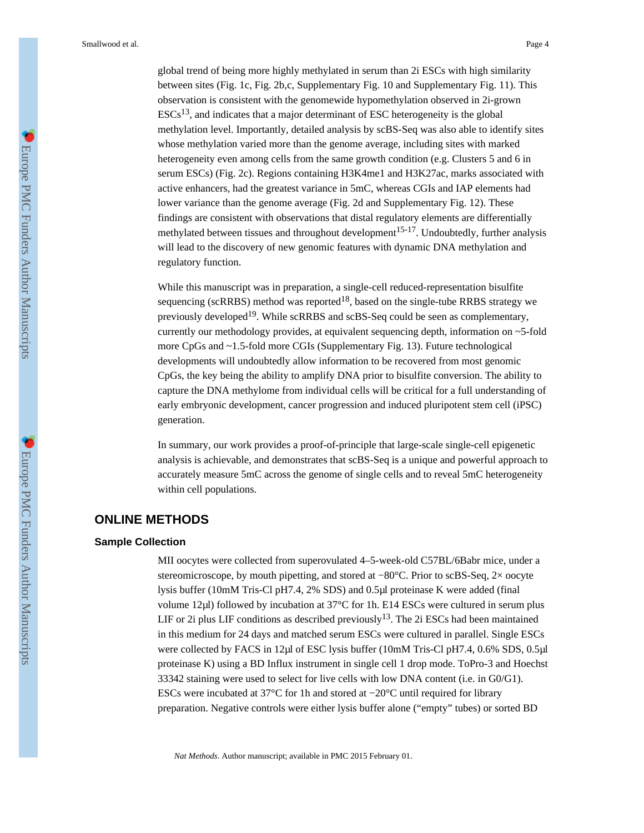global trend of being more highly methylated in serum than 2i ESCs with high similarity between sites (Fig. 1c, Fig. 2b,c, Supplementary Fig. 10 and Supplementary Fig. 11). This observation is consistent with the genomewide hypomethylation observed in 2i-grown  $ESCs<sup>13</sup>$ , and indicates that a major determinant of ESC heterogeneity is the global methylation level. Importantly, detailed analysis by scBS-Seq was also able to identify sites whose methylation varied more than the genome average, including sites with marked heterogeneity even among cells from the same growth condition (e.g. Clusters 5 and 6 in serum ESCs) (Fig. 2c). Regions containing H3K4me1 and H3K27ac, marks associated with active enhancers, had the greatest variance in 5mC, whereas CGIs and IAP elements had lower variance than the genome average (Fig. 2d and Supplementary Fig. 12). These findings are consistent with observations that distal regulatory elements are differentially methylated between tissues and throughout development<sup>15-17</sup>. Undoubtedly, further analysis will lead to the discovery of new genomic features with dynamic DNA methylation and regulatory function.

While this manuscript was in preparation, a single-cell reduced-representation bisulfite sequencing (scRRBS) method was reported<sup>18</sup>, based on the single-tube RRBS strategy we previously developed<sup>19</sup>. While scRRBS and scBS-Seq could be seen as complementary, currently our methodology provides, at equivalent sequencing depth, information on ~5-fold more CpGs and ~1.5-fold more CGIs (Supplementary Fig. 13). Future technological developments will undoubtedly allow information to be recovered from most genomic CpGs, the key being the ability to amplify DNA prior to bisulfite conversion. The ability to capture the DNA methylome from individual cells will be critical for a full understanding of early embryonic development, cancer progression and induced pluripotent stem cell (iPSC) generation.

In summary, our work provides a proof-of-principle that large-scale single-cell epigenetic analysis is achievable, and demonstrates that scBS-Seq is a unique and powerful approach to accurately measure 5mC across the genome of single cells and to reveal 5mC heterogeneity within cell populations.

# **ONLINE METHODS**

#### **Sample Collection**

MII oocytes were collected from superovulated 4–5-week-old C57BL/6Babr mice, under a stereomicroscope, by mouth pipetting, and stored at −80°C. Prior to scBS-Seq, 2× oocyte lysis buffer (10mM Tris-Cl pH7.4, 2% SDS) and 0.5μl proteinase K were added (final volume 12μl) followed by incubation at 37°C for 1h. E14 ESCs were cultured in serum plus LIF or 2i plus LIF conditions as described previously<sup>13</sup>. The 2i ESCs had been maintained in this medium for 24 days and matched serum ESCs were cultured in parallel. Single ESCs were collected by FACS in 12µl of ESC lysis buffer (10mM Tris-Cl pH7.4, 0.6% SDS, 0.5µl) proteinase K) using a BD Influx instrument in single cell 1 drop mode. ToPro-3 and Hoechst 33342 staining were used to select for live cells with low DNA content (i.e. in G0/G1). ESCs were incubated at 37°C for 1h and stored at −20°C until required for library preparation. Negative controls were either lysis buffer alone ("empty" tubes) or sorted BD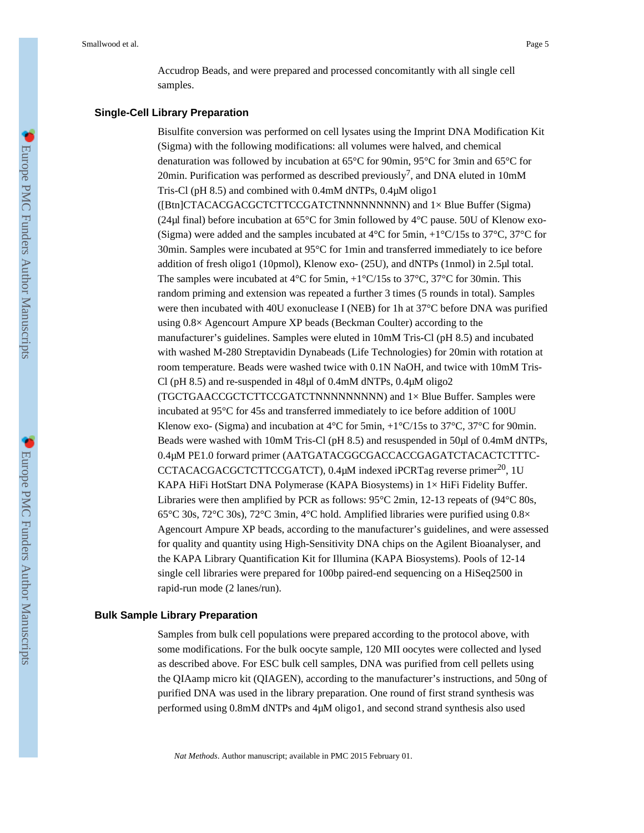Accudrop Beads, and were prepared and processed concomitantly with all single cell samples.

#### **Single-Cell Library Preparation**

Bisulfite conversion was performed on cell lysates using the Imprint DNA Modification Kit (Sigma) with the following modifications: all volumes were halved, and chemical denaturation was followed by incubation at 65°C for 90min, 95°C for 3min and 65°C for 20min. Purification was performed as described previously<sup>7</sup>, and DNA eluted in 10mM Tris-Cl (pH 8.5) and combined with 0.4mM dNTPs, 0.4μM oligo1 ([Btn]CTACACGACGCTCTTCCGATCTNNNNNNNNN) and 1× Blue Buffer (Sigma) (24μl final) before incubation at 65°C for 3min followed by 4°C pause. 50U of Klenow exo- (Sigma) were added and the samples incubated at  $4^{\circ}$ C for 5min,  $+1^{\circ}$ C/15s to 37 $^{\circ}$ C, 37 $^{\circ}$ C for 30min. Samples were incubated at 95°C for 1min and transferred immediately to ice before addition of fresh oligo1 (10pmol), Klenow exo- (25U), and dNTPs (1nmol) in 2.5μl total. The samples were incubated at 4°C for 5min, +1°C/15s to 37°C, 37°C for 30min. This random priming and extension was repeated a further 3 times (5 rounds in total). Samples were then incubated with 40U exonuclease I (NEB) for 1h at 37°C before DNA was purified using 0.8× Agencourt Ampure XP beads (Beckman Coulter) according to the manufacturer's guidelines. Samples were eluted in 10mM Tris-Cl (pH 8.5) and incubated with washed M-280 Streptavidin Dynabeads (Life Technologies) for 20min with rotation at room temperature. Beads were washed twice with 0.1N NaOH, and twice with 10mM Tris-Cl (pH 8.5) and re-suspended in 48μl of 0.4mM dNTPs, 0.4μM oligo2 (TGCTGAACCGCTCTTCCGATCTNNNNNNNNN) and 1× Blue Buffer. Samples were incubated at 95°C for 45s and transferred immediately to ice before addition of 100U Klenow exo- (Sigma) and incubation at  $4^{\circ}$ C for 5min,  $+1^{\circ}$ C/15s to 37 $^{\circ}$ C, 37 $^{\circ}$ C for 90min. Beads were washed with 10mM Tris-Cl (pH 8.5) and resuspended in 50μl of 0.4mM dNTPs, 0.4μM PE1.0 forward primer (AATGATACGGCGACCACCGAGATCTACACTCTTTC-CCTACACGACGCTCTTCCGATCT), 0.4μM indexed iPCRTag reverse primer<sup>20</sup>, 1U KAPA HiFi HotStart DNA Polymerase (KAPA Biosystems) in 1× HiFi Fidelity Buffer. Libraries were then amplified by PCR as follows:  $95^{\circ}$ C 2min, 12-13 repeats of ( $94^{\circ}$ C 80s, 65 $\degree$ C 30s, 72 $\degree$ C 30s), 72 $\degree$ C 3min, 4 $\degree$ C hold. Amplified libraries were purified using 0.8 $\times$ Agencourt Ampure XP beads, according to the manufacturer's guidelines, and were assessed for quality and quantity using High-Sensitivity DNA chips on the Agilent Bioanalyser, and the KAPA Library Quantification Kit for Illumina (KAPA Biosystems). Pools of 12-14 single cell libraries were prepared for 100bp paired-end sequencing on a HiSeq2500 in rapid-run mode (2 lanes/run).

## **Bulk Sample Library Preparation**

Samples from bulk cell populations were prepared according to the protocol above, with some modifications. For the bulk oocyte sample, 120 MII oocytes were collected and lysed as described above. For ESC bulk cell samples, DNA was purified from cell pellets using the QIAamp micro kit (QIAGEN), according to the manufacturer's instructions, and 50ng of purified DNA was used in the library preparation. One round of first strand synthesis was performed using 0.8mM dNTPs and 4μM oligo1, and second strand synthesis also used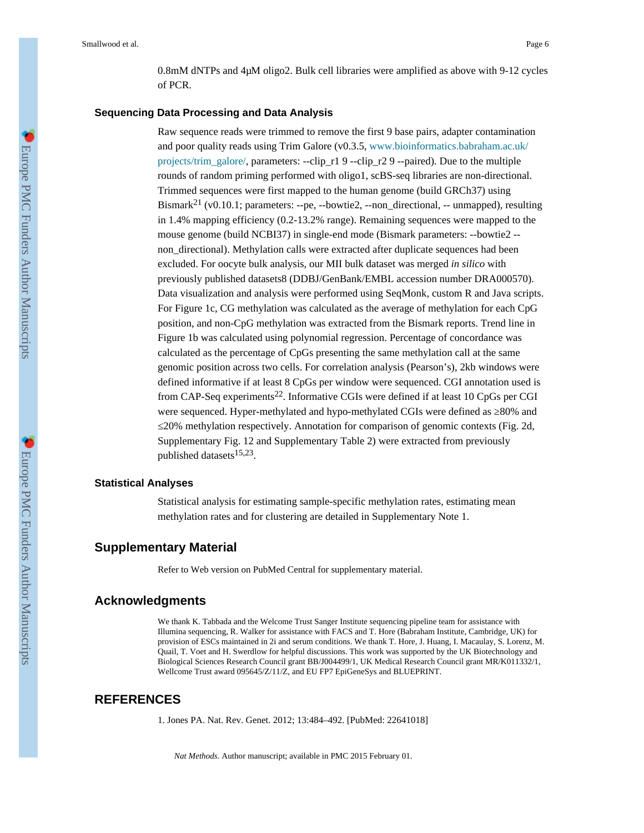0.8mM dNTPs and 4μM oligo2. Bulk cell libraries were amplified as above with 9-12 cycles of PCR.

#### **Sequencing Data Processing and Data Analysis**

Raw sequence reads were trimmed to remove the first 9 base pairs, adapter contamination and poor quality reads using Trim Galore (v0.3.5, [www.bioinformatics.babraham.ac.uk/](http://www.bioinformatics.babraham.ac.uk/projects/trim_galore/) [projects/trim\\_galore/,](http://www.bioinformatics.babraham.ac.uk/projects/trim_galore/) parameters: --clip\_r1 9 --clip\_r2 9 --paired). Due to the multiple rounds of random priming performed with oligo1, scBS-seq libraries are non-directional. Trimmed sequences were first mapped to the human genome (build GRCh37) using Bismark21 (v0.10.1; parameters: --pe, --bowtie2, --non\_directional, -- unmapped), resulting in 1.4% mapping efficiency (0.2-13.2% range). Remaining sequences were mapped to the mouse genome (build NCBI37) in single-end mode (Bismark parameters: --bowtie2 - non\_directional). Methylation calls were extracted after duplicate sequences had been excluded. For oocyte bulk analysis, our MII bulk dataset was merged *in silico* with previously published datasets8 (DDBJ/GenBank/EMBL accession number DRA000570). Data visualization and analysis were performed using SeqMonk, custom R and Java scripts. For Figure 1c, CG methylation was calculated as the average of methylation for each CpG position, and non-CpG methylation was extracted from the Bismark reports. Trend line in Figure 1b was calculated using polynomial regression. Percentage of concordance was calculated as the percentage of CpGs presenting the same methylation call at the same genomic position across two cells. For correlation analysis (Pearson's), 2kb windows were defined informative if at least 8 CpGs per window were sequenced. CGI annotation used is from CAP-Seq experiments<sup>22</sup>. Informative CGIs were defined if at least 10 CpGs per CGI were sequenced. Hyper-methylated and hypo-methylated CGIs were defined as  $80\%$  and ≤20% methylation respectively. Annotation for comparison of genomic contexts (Fig. 2d, Supplementary Fig. 12 and Supplementary Table 2) were extracted from previously published datasets<sup>15,23</sup>.

#### **Statistical Analyses**

Statistical analysis for estimating sample-specific methylation rates, estimating mean methylation rates and for clustering are detailed in Supplementary Note 1.

## **Supplementary Material**

Refer to Web version on PubMed Central for supplementary material.

## **Acknowledgments**

We thank K. Tabbada and the Welcome Trust Sanger Institute sequencing pipeline team for assistance with Illumina sequencing, R. Walker for assistance with FACS and T. Hore (Babraham Institute, Cambridge, UK) for provision of ESCs maintained in 2i and serum conditions. We thank T. Hore, J. Huang, I. Macaulay, S. Lorenz, M. Quail, T. Voet and H. Swerdlow for helpful discussions. This work was supported by the UK Biotechnology and Biological Sciences Research Council grant BB/J004499/1, UK Medical Research Council grant MR/K011332/1, Wellcome Trust award 095645/Z/11/Z, and EU FP7 EpiGeneSys and BLUEPRINT.

## **REFERENCES**

1. Jones PA. Nat. Rev. Genet. 2012; 13:484–492. [PubMed: 22641018]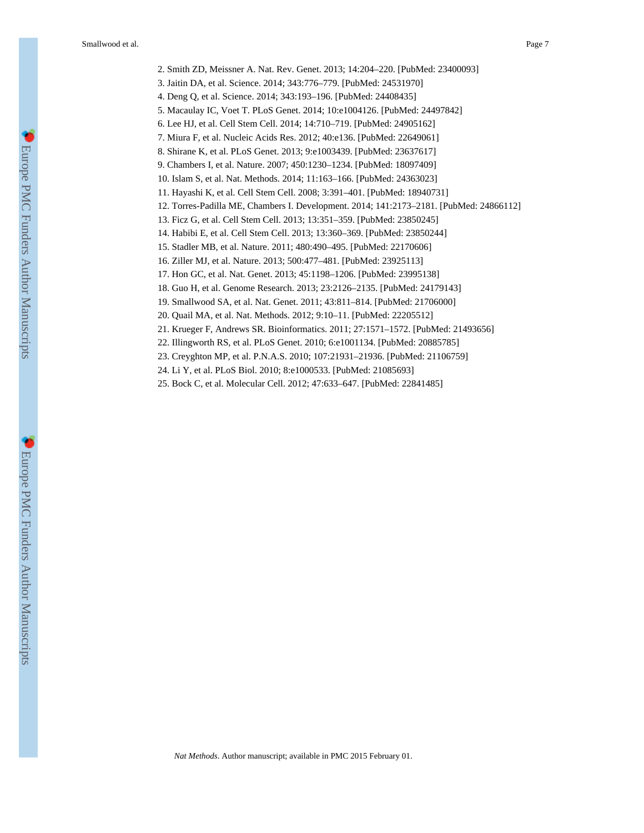2. Smith ZD, Meissner A. Nat. Rev. Genet. 2013; 14:204–220. [PubMed: 23400093]

3. Jaitin DA, et al. Science. 2014; 343:776–779. [PubMed: 24531970]

4. Deng Q, et al. Science. 2014; 343:193–196. [PubMed: 24408435]

5. Macaulay IC, Voet T. PLoS Genet. 2014; 10:e1004126. [PubMed: 24497842]

6. Lee HJ, et al. Cell Stem Cell. 2014; 14:710–719. [PubMed: 24905162]

7. Miura F, et al. Nucleic Acids Res. 2012; 40:e136. [PubMed: 22649061]

8. Shirane K, et al. PLoS Genet. 2013; 9:e1003439. [PubMed: 23637617]

9. Chambers I, et al. Nature. 2007; 450:1230–1234. [PubMed: 18097409]

10. Islam S, et al. Nat. Methods. 2014; 11:163–166. [PubMed: 24363023]

11. Hayashi K, et al. Cell Stem Cell. 2008; 3:391–401. [PubMed: 18940731]

12. Torres-Padilla ME, Chambers I. Development. 2014; 141:2173–2181. [PubMed: 24866112]

13. Ficz G, et al. Cell Stem Cell. 2013; 13:351–359. [PubMed: 23850245]

14. Habibi E, et al. Cell Stem Cell. 2013; 13:360–369. [PubMed: 23850244]

15. Stadler MB, et al. Nature. 2011; 480:490–495. [PubMed: 22170606]

16. Ziller MJ, et al. Nature. 2013; 500:477–481. [PubMed: 23925113]

17. Hon GC, et al. Nat. Genet. 2013; 45:1198–1206. [PubMed: 23995138]

18. Guo H, et al. Genome Research. 2013; 23:2126–2135. [PubMed: 24179143]

19. Smallwood SA, et al. Nat. Genet. 2011; 43:811–814. [PubMed: 21706000]

20. Quail MA, et al. Nat. Methods. 2012; 9:10–11. [PubMed: 22205512]

21. Krueger F, Andrews SR. Bioinformatics. 2011; 27:1571–1572. [PubMed: 21493656]

22. Illingworth RS, et al. PLoS Genet. 2010; 6:e1001134. [PubMed: 20885785]

23. Creyghton MP, et al. P.N.A.S. 2010; 107:21931–21936. [PubMed: 21106759]

24. Li Y, et al. PLoS Biol. 2010; 8:e1000533. [PubMed: 21085693]

25. Bock C, et al. Molecular Cell. 2012; 47:633–647. [PubMed: 22841485]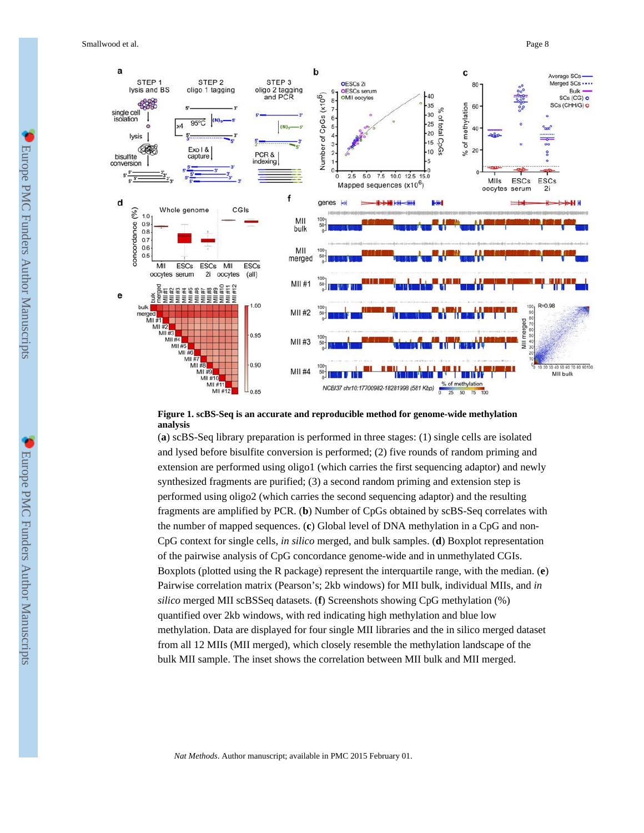

## **Figure 1. scBS-Seq is an accurate and reproducible method for genome-wide methylation analysis**

(**a**) scBS-Seq library preparation is performed in three stages: (1) single cells are isolated and lysed before bisulfite conversion is performed; (2) five rounds of random priming and extension are performed using oligo1 (which carries the first sequencing adaptor) and newly synthesized fragments are purified; (3) a second random priming and extension step is performed using oligo2 (which carries the second sequencing adaptor) and the resulting fragments are amplified by PCR. (**b**) Number of CpGs obtained by scBS-Seq correlates with the number of mapped sequences. (**c**) Global level of DNA methylation in a CpG and non-CpG context for single cells, *in silico* merged, and bulk samples. (**d**) Boxplot representation of the pairwise analysis of CpG concordance genome-wide and in unmethylated CGIs. Boxplots (plotted using the R package) represent the interquartile range, with the median. (**e**) Pairwise correlation matrix (Pearson's; 2kb windows) for MII bulk, individual MIIs, and *in silico* merged MII scBSSeq datasets. (**f**) Screenshots showing CpG methylation (%) quantified over 2kb windows, with red indicating high methylation and blue low methylation. Data are displayed for four single MII libraries and the in silico merged dataset from all 12 MIIs (MII merged), which closely resemble the methylation landscape of the bulk MII sample. The inset shows the correlation between MII bulk and MII merged.